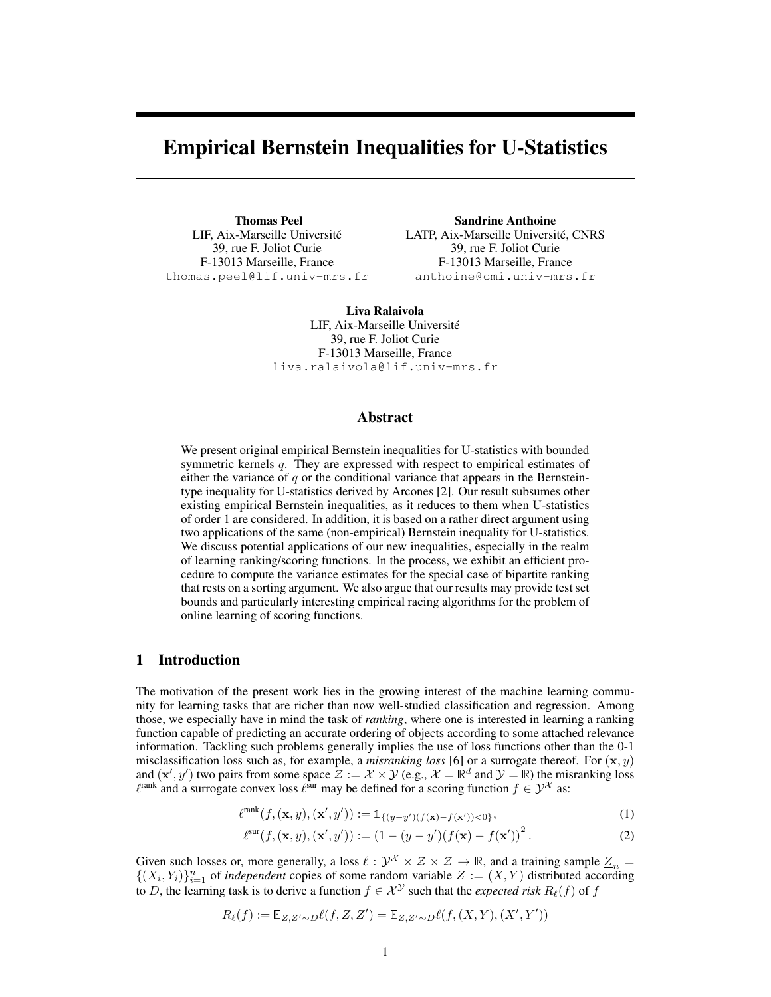# Empirical Bernstein Inequalities for U-Statistics

Thomas Peel LIF, Aix-Marseille Université 39, rue F. Joliot Curie F-13013 Marseille, France thomas.peel@lif.univ-mrs.fr

Sandrine Anthoine LATP, Aix-Marseille Université, CNRS 39, rue F. Joliot Curie F-13013 Marseille, France anthoine@cmi.univ-mrs.fr

Liva Ralaivola LIF, Aix-Marseille Université 39, rue F. Joliot Curie F-13013 Marseille, France liva.ralaivola@lif.univ-mrs.fr

## Abstract

We present original empirical Bernstein inequalities for U-statistics with bounded symmetric kernels q. They are expressed with respect to empirical estimates of either the variance of  $q$  or the conditional variance that appears in the Bernsteintype inequality for U-statistics derived by Arcones [2]. Our result subsumes other existing empirical Bernstein inequalities, as it reduces to them when U-statistics of order 1 are considered. In addition, it is based on a rather direct argument using two applications of the same (non-empirical) Bernstein inequality for U-statistics. We discuss potential applications of our new inequalities, especially in the realm of learning ranking/scoring functions. In the process, we exhibit an efficient procedure to compute the variance estimates for the special case of bipartite ranking that rests on a sorting argument. We also argue that our results may provide test set bounds and particularly interesting empirical racing algorithms for the problem of online learning of scoring functions.

# 1 Introduction

The motivation of the present work lies in the growing interest of the machine learning community for learning tasks that are richer than now well-studied classification and regression. Among those, we especially have in mind the task of *ranking*, where one is interested in learning a ranking function capable of predicting an accurate ordering of objects according to some attached relevance information. Tackling such problems generally implies the use of loss functions other than the 0-1 misclassification loss such as, for example, a *misranking loss* [6] or a surrogate thereof. For  $(x, y)$ and  $(\mathbf{x}', y')$  two pairs from some space  $\mathcal{Z} := \mathcal{X} \times \mathcal{Y}$  (e.g.,  $\mathcal{X} = \mathbb{R}^d$  and  $\mathcal{Y} = \mathbb{R}$ ) the misranking loss  $\ell^{\text{rank}}$  and a surrogate convex loss  $\ell^{\text{sur}}$  may be defined for a scoring function  $f \in \mathcal{Y}^{\mathcal{X}}$  as:

$$
\ell^{\text{rank}}(f,(\mathbf{x},y),(\mathbf{x}',y')) := \mathbb{1}_{\{(y-y')(f(\mathbf{x})-f(\mathbf{x}'))<0\}},\tag{1}
$$

$$
\ell^{\text{sur}}(f, (\mathbf{x}, y), (\mathbf{x}', y')) := (1 - (y - y')(f(\mathbf{x}) - f(\mathbf{x}'))^2.
$$
 (2)

Given such losses or, more generally, a loss  $\ell : \mathcal{Y}^X \times \mathcal{Z} \times \mathcal{Z} \to \mathbb{R}$ , and a training sample  $\underline{Z}_n =$  $\{(X_i,Y_i)\}_{i=1}^n$  of *independent* copies of some random variable  $Z := (X,Y)$  distributed according to D, the learning task is to derive a function  $f \in \mathcal{X}^{\mathcal{Y}}$  such that the *expected risk*  $R_{\ell}(f)$  of f

$$
R_{\ell}(f) := \mathbb{E}_{Z, Z' \sim D} \ell(f, Z, Z') = \mathbb{E}_{Z, Z' \sim D} \ell(f, (X, Y), (X', Y'))
$$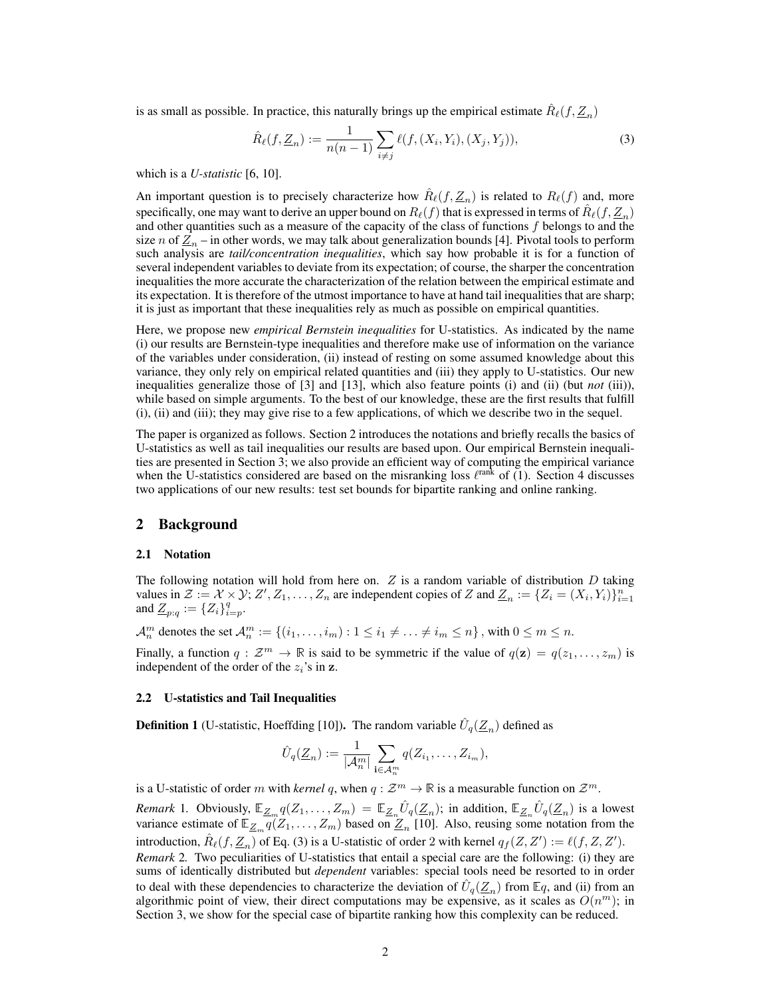is as small as possible. In practice, this naturally brings up the empirical estimate  $\hat{R}_{\ell}(f, \underline{Z}_n)$ 

$$
\hat{R}_{\ell}(f, \underline{Z}_n) := \frac{1}{n(n-1)} \sum_{i \neq j} \ell(f, (X_i, Y_i), (X_j, Y_j)), \tag{3}
$$

which is a *U-statistic* [6, 10].

An important question is to precisely characterize how  $\hat{R}_{\ell}(f, \underline{Z}_n)$  is related to  $R_{\ell}(f)$  and, more specifically, one may want to derive an upper bound on  $R_\ell(f)$  that is expressed in terms of  $\hat{R}_\ell(f, \underline{Z}_n)$ and other quantities such as a measure of the capacity of the class of functions  $f$  belongs to and the size  $n$  of  $\underline{Z}_n$  – in other words, we may talk about generalization bounds [4]. Pivotal tools to perform such analysis are *tail/concentration inequalities*, which say how probable it is for a function of several independent variables to deviate from its expectation; of course, the sharper the concentration inequalities the more accurate the characterization of the relation between the empirical estimate and its expectation. It is therefore of the utmost importance to have at hand tail inequalities that are sharp; it is just as important that these inequalities rely as much as possible on empirical quantities.

Here, we propose new *empirical Bernstein inequalities* for U-statistics. As indicated by the name (i) our results are Bernstein-type inequalities and therefore make use of information on the variance of the variables under consideration, (ii) instead of resting on some assumed knowledge about this variance, they only rely on empirical related quantities and (iii) they apply to U-statistics. Our new inequalities generalize those of [3] and [13], which also feature points (i) and (ii) (but *not* (iii)), while based on simple arguments. To the best of our knowledge, these are the first results that fulfill (i), (ii) and (iii); they may give rise to a few applications, of which we describe two in the sequel.

The paper is organized as follows. Section 2 introduces the notations and briefly recalls the basics of U-statistics as well as tail inequalities our results are based upon. Our empirical Bernstein inequalities are presented in Section 3; we also provide an efficient way of computing the empirical variance when the U-statistics considered are based on the misranking loss  $\ell^{\text{rank}}$  of (1). Section 4 discusses two applications of our new results: test set bounds for bipartite ranking and online ranking.

## 2 Background

## 2.1 Notation

The following notation will hold from here on.  $Z$  is a random variable of distribution  $D$  taking values in  $\mathcal{Z} := \mathcal{X} \times \mathcal{Y}$ ;  $Z', Z_1, \ldots, Z_n$  are independent copies of Z and  $Z_n := \{Z_i = (X_i, Y_i)\}_{i=1}^n$ and  $\underline{Z}_{p:q} := \{Z_i\}_{i=p}^q$ .

 $\mathcal{A}_n^m$  denotes the set  $\mathcal{A}_n^m:=\{(i_1,\ldots,i_m):1\leq i_1\neq\ldots\neq i_m\leq n\}$ , with  $0\leq m\leq n$ .

Finally, a function  $q: \mathcal{Z}^m \to \mathbb{R}$  is said to be symmetric if the value of  $q(\mathbf{z}) = q(z_1, \dots, z_m)$  is independent of the order of the  $z_i$ 's in z.

#### 2.2 U-statistics and Tail Inequalities

**Definition 1** (U-statistic, Hoeffding [10]). The random variable  $\hat{U}_q(\underline{Z}_n)$  defined as

$$
\hat{U}_q(\underline{Z}_n) := \frac{1}{|\mathcal{A}_n^m|} \sum_{\mathbf{i} \in \mathcal{A}_n^m} q(Z_{i_1}, \dots, Z_{i_m}),
$$

is a U-statistic of order m with *kernel q*, when  $q: \mathcal{Z}^m \to \mathbb{R}$  is a measurable function on  $\mathcal{Z}^m$ .

*Remark* 1. Obviously,  $\mathbb{E}_{\underline{Z}_m} q(Z_1, \ldots, Z_m) = \mathbb{E}_{\underline{Z}_n} \hat{U}_q(\underline{Z}_n)$ ; in addition,  $\mathbb{E}_{\underline{Z}_n} \hat{U}_q(\underline{Z}_n)$  is a lowest variance estimate of  $\mathbb{E}_{\mathbb{Z}_m} q(Z_1,\ldots,Z_m)$  based on  $\mathbb{Z}_n$  [10]. Also, reusing some notation from the introduction,  $\hat{R}_{\ell}(f, \underline{Z}_n)$  of Eq. (3) is a U-statistic of order 2 with kernel  $q_f(Z, Z') := \ell(f, Z, Z').$ *Remark* 2*.* Two peculiarities of U-statistics that entail a special care are the following: (i) they are sums of identically distributed but *dependent* variables: special tools need be resorted to in order to deal with these dependencies to characterize the deviation of  $\hat{U}_q(\underline{Z}_n)$  from  $\mathbb{E}q$ , and (ii) from an algorithmic point of view, their direct computations may be expensive, as it scales as  $O(n^m)$ ; in Section 3, we show for the special case of bipartite ranking how this complexity can be reduced.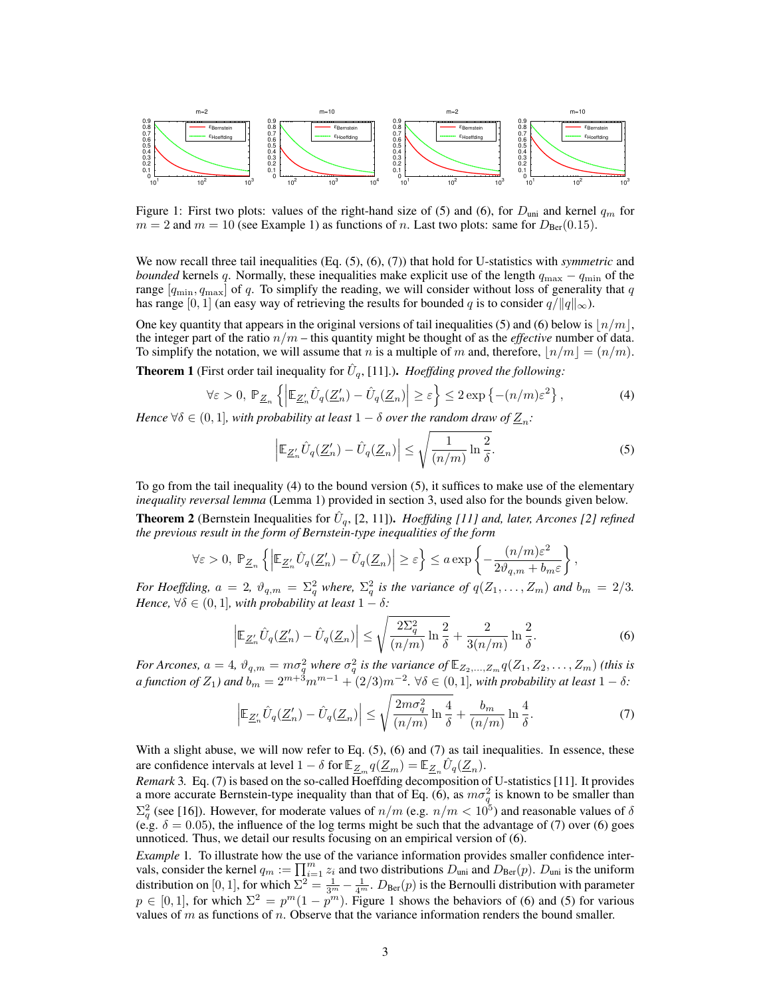

Figure 1: First two plots: values of the right-hand size of (5) and (6), for  $D_{\text{uni}}$  and kernel  $q_m$  for  $m = 2$  and  $m = 10$  (see Example 1) as functions of n. Last two plots: same for  $D_{\text{Ber}}(0.15)$ .

We now recall three tail inequalities (Eq.  $(5)$ ,  $(6)$ ,  $(7)$ ) that hold for U-statistics with *symmetric* and *bounded* kernels q. Normally, these inequalities make explicit use of the length  $q_{\text{max}} - q_{\text{min}}$  of the range  $[q_{\min}, q_{\max}]$  of q. To simplify the reading, we will consider without loss of generality that q has range [0, 1] (an easy way of retrieving the results for bounded q is to consider  $q/||q||_{\infty}$ ).

One key quantity that appears in the original versions of tail inequalities (5) and (6) below is  $\lfloor n/m \rfloor$ , the integer part of the ratio  $n/m$  – this quantity might be thought of as the *effective* number of data. To simplify the notation, we will assume that n is a multiple of m and, therefore,  $n/m = (n/m)$ .

**Theorem 1** (First order tail inequality for  $\hat{U}_q$ , [11].). *Hoeffding proved the following:* 

$$
\forall \varepsilon > 0, \ \mathbb{P}_{\underline{Z}_n} \left\{ \left| \mathbb{E}_{\underline{Z}'_n} \hat{U}_q(\underline{Z}'_n) - \hat{U}_q(\underline{Z}_n) \right| \ge \varepsilon \right\} \le 2 \exp \left\{ -(n/m) \varepsilon^2 \right\},\tag{4}
$$

*Hence*  $\forall \delta \in (0,1]$ , with probability at least  $1 - \delta$  over the random draw of  $\underline{Z}_n$ :

$$
\left|\mathbb{E}_{\underline{Z}'_n} \hat{U}_q(\underline{Z}'_n) - \hat{U}_q(\underline{Z}_n)\right| \le \sqrt{\frac{1}{(n/m)} \ln \frac{2}{\delta}}.
$$
\n(5)

To go from the tail inequality (4) to the bound version (5), it suffices to make use of the elementary *inequality reversal lemma* (Lemma 1) provided in section 3, used also for the bounds given below.

**Theorem 2** (Bernstein Inequalities for  $\hat{U}_q$ , [2, 11]). *Hoeffding [11] and, later, Arcones [2] refined the previous result in the form of Bernstein-type inequalities of the form*

$$
\forall \varepsilon>0, \ \mathbb{P}_{\underline{Z}_n}\left\{\left|\mathbb{E}_{\underline{Z}_n'}\hat{U}_q(\underline{Z}_n')-\hat{U}_q(\underline{Z}_n)\right|\geq \varepsilon\right\}\leq a\exp\left\{-\frac{(n/m)\varepsilon^2}{2\vartheta_{q,m}+b_m\varepsilon}\right\},
$$

*For Hoeffding,*  $a = 2$ ,  $\vartheta_{q,m} = \Sigma_q^2$  *where,*  $\Sigma_q^2$  *is the variance of*  $q(Z_1, \ldots, Z_m)$  *and*  $b_m = 2/3$ *. Hence,*  $\forall \delta \in (0, 1]$ *, with probability at least*  $1 - \delta$ *:* 

$$
\left|\mathbb{E}_{\underline{Z}_n'}\hat{U}_q(\underline{Z}_n') - \hat{U}_q(\underline{Z}_n)\right| \le \sqrt{\frac{2\Sigma_q^2}{(n/m)}\ln\frac{2}{\delta}} + \frac{2}{3(n/m)}\ln\frac{2}{\delta}.\tag{6}
$$

*For Arcones,*  $a = 4$ ,  $\vartheta_{q,m} = m\sigma_q^2$  *where*  $\sigma_q^2$  *is the variance of*  $\mathbb{E}_{Z_2,...,Z_m} q(Z_1, Z_2,..., Z_m)$  *(this is a function of*  $Z_1$ *) and*  $b_m = 2^{m+3}m^{m-1} + (2/3)m^{-2}$ .  $\forall \delta \in (0,1]$ *, with probability at least*  $1 - \delta$ *:* 

$$
\left| \mathbb{E}_{\underline{Z}_n'} \hat{U}_q(\underline{Z}_n') - \hat{U}_q(\underline{Z}_n) \right| \le \sqrt{\frac{2m\sigma_q^2}{(n/m)} \ln \frac{4}{\delta}} + \frac{b_m}{(n/m)} \ln \frac{4}{\delta}.
$$
 (7)

With a slight abuse, we will now refer to Eq.  $(5)$ ,  $(6)$  and  $(7)$  as tail inequalities. In essence, these are confidence intervals at level  $1 - \delta$  for  $\mathbb{E}_{\mathcal{Z}_m} q(\mathcal{Z}_m) = \mathbb{E}_{\mathcal{Z}_n} \hat{U}_q(\mathcal{Z}_n)$ .

*Remark* 3*.* Eq. (7) is based on the so-called Hoeffding decomposition of U-statistics [11]. It provides a more accurate Bernstein-type inequality than that of Eq. (6), as  $m\sigma_q^2$  is known to be smaller than  $\Sigma_q^2$  (see [16]). However, for moderate values of  $n/m$  (e.g.  $n/m < 10^5$ ) and reasonable values of  $\delta$ (e.g.  $\delta = 0.05$ ), the influence of the log terms might be such that the advantage of (7) over (6) goes unnoticed. Thus, we detail our results focusing on an empirical version of (6).

*Example* 1*.* To illustrate how the use of the variance information provides smaller confidence intervals, consider the kernel  $q_m := \prod_{i=1}^m z_i$  and two distributions  $D_{uni}$  and  $D_{\text{Ber}}(p)$ .  $D_{uni}$  is the uniform distribution on [0, 1], for which  $\Sigma^2 = \frac{1}{3^m} - \frac{1}{4^m}$ .  $D_{\text{Ber}}(p)$  is the Bernoulli distribution with parameter  $p \in [0,1]$ , for which  $\Sigma^2 = p^m(1-p^m)$ . Figure 1 shows the behaviors of (6) and (5) for various values of  $m$  as functions of  $n$ . Observe that the variance information renders the bound smaller.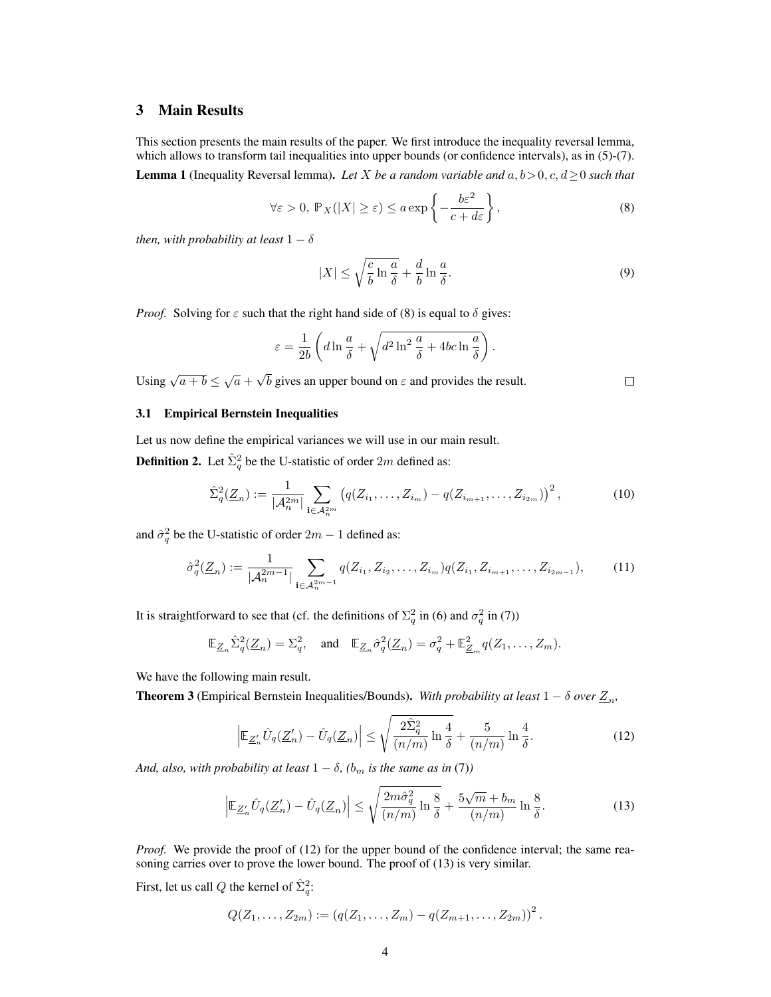# 3 Main Results

This section presents the main results of the paper. We first introduce the inequality reversal lemma, which allows to transform tail inequalities into upper bounds (or confidence intervals), as in (5)-(7).

**Lemma 1** (Inequality Reversal lemma). Let X be a random variable and  $a, b > 0, c, d \ge 0$  such that

$$
\forall \varepsilon > 0, \ \mathbb{P}_X(|X| \ge \varepsilon) \le a \exp\left\{-\frac{b\varepsilon^2}{c + d\varepsilon}\right\},\tag{8}
$$

*then, with probability at least*  $1 - \delta$ 

$$
|X| \le \sqrt{\frac{c}{b} \ln \frac{a}{\delta}} + \frac{d}{b} \ln \frac{a}{\delta}.\tag{9}
$$

*Proof.* Solving for  $\varepsilon$  such that the right hand side of (8) is equal to  $\delta$  gives:

$$
\varepsilon = \frac{1}{2b} \left( d \ln \frac{a}{\delta} + \sqrt{d^2 \ln^2 \frac{a}{\delta} + 4bc \ln \frac{a}{\delta}} \right).
$$

Using  $\sqrt{a+b} \leq \sqrt{a}$  + √ b gives an upper bound on  $\varepsilon$  and provides the result.

## 3.1 Empirical Bernstein Inequalities

Let us now define the empirical variances we will use in our main result.

**Definition 2.** Let  $\hat{\Sigma}_q^2$  be the U-statistic of order  $2m$  defined as:

$$
\hat{\Sigma}_q^2(\underline{Z}_n) := \frac{1}{|\mathcal{A}_n^{2m}|} \sum_{\mathbf{i} \in \mathcal{A}_n^{2m}} \left( q(Z_{i_1}, \dots, Z_{i_m}) - q(Z_{i_{m+1}}, \dots, Z_{i_{2m}}) \right)^2, \tag{10}
$$

and  $\hat{\sigma}_q^2$  be the U-statistic of order  $2m - 1$  defined as:

$$
\hat{\sigma}_q^2(\underline{Z}_n) := \frac{1}{|\mathcal{A}_n^{2m-1}|} \sum_{\mathbf{i} \in \mathcal{A}_n^{2m-1}} q(Z_{i_1}, Z_{i_2}, \dots, Z_{i_m}) q(Z_{i_1}, Z_{i_{m+1}}, \dots, Z_{i_{2m-1}}),
$$
(11)

It is straightforward to see that (cf. the definitions of  $\Sigma_q^2$  in (6) and  $\sigma_q^2$  in (7))

$$
\mathbb{E}_{\underline{Z}_n} \hat{\Sigma}_q^2(\underline{Z}_n) = \Sigma_q^2, \quad \text{and} \quad \mathbb{E}_{\underline{Z}_n} \hat{\sigma}_q^2(\underline{Z}_n) = \sigma_q^2 + \mathbb{E}_{\underline{Z}_m}^2 q(Z_1, \dots, Z_m).
$$

We have the following main result.

**Theorem 3** (Empirical Bernstein Inequalities/Bounds). With probability at least  $1 - \delta$  over  $\underline{Z}_n$ ,

$$
\left|\mathbb{E}_{\underline{Z}'_n}\hat{U}_q(\underline{Z}'_n) - \hat{U}_q(\underline{Z}_n)\right| \le \sqrt{\frac{2\hat{\Sigma}_q^2}{(n/m)}\ln\frac{4}{\delta}} + \frac{5}{(n/m)}\ln\frac{4}{\delta}.\tag{12}
$$

*And, also, with probability at least*  $1 - \delta$ *, (b<sub>m</sub> is the same as in* (7)*)* 

$$
\left| \mathbb{E}_{\underline{Z}'_n} \hat{U}_q(\underline{Z}'_n) - \hat{U}_q(\underline{Z}_n) \right| \le \sqrt{\frac{2m\hat{\sigma}_q^2}{(n/m)} \ln \frac{8}{\delta}} + \frac{5\sqrt{m} + b_m}{(n/m)} \ln \frac{8}{\delta}.
$$
 (13)

*Proof.* We provide the proof of (12) for the upper bound of the confidence interval; the same reasoning carries over to prove the lower bound. The proof of (13) is very similar.

First, let us call Q the kernel of  $\hat{\Sigma}_q^2$ :

$$
Q(Z_1,\ldots,Z_{2m}):=(q(Z_1,\ldots,Z_m)-q(Z_{m+1},\ldots,Z_{2m}))^2.
$$

 $\Box$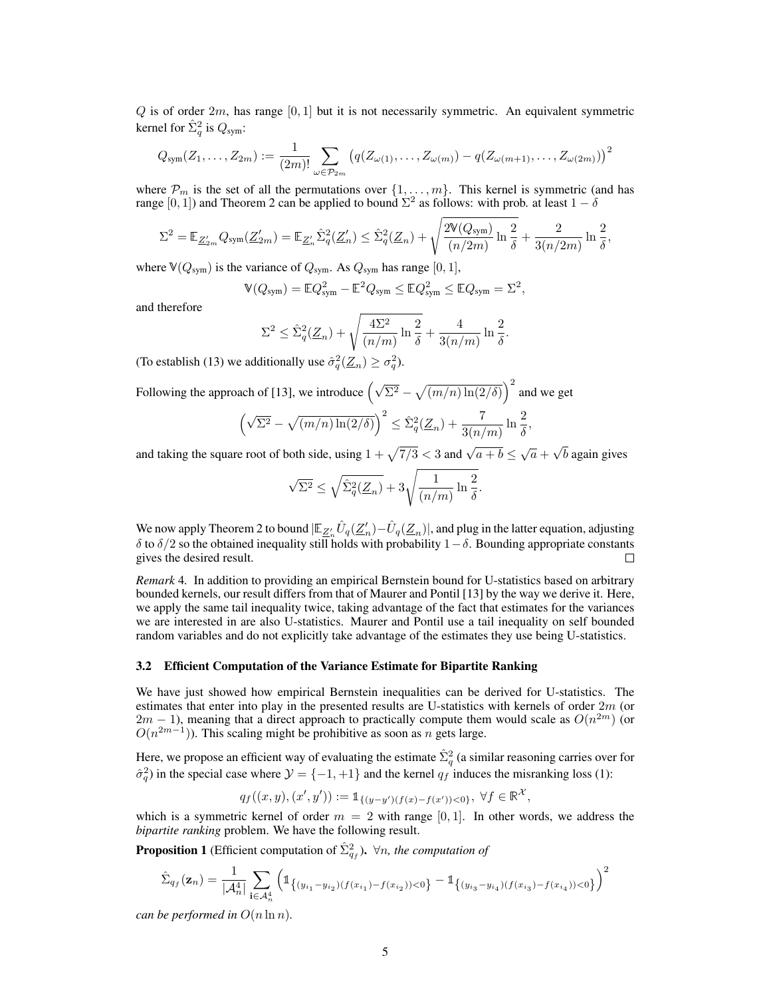$Q$  is of order  $2m$ , has range [0, 1] but it is not necessarily symmetric. An equivalent symmetric kernel for  $\hat{\Sigma}_q^2$  is  $Q_{sym}$ :

$$
Q_{sym}(Z_1,\ldots,Z_{2m}):=\frac{1}{(2m)!}\sum_{\omega\in\mathcal{P}_{2m}}\left(q(Z_{\omega(1)},\ldots,Z_{\omega(m)})-q(Z_{\omega(m+1)},\ldots,Z_{\omega(2m)})\right)^2
$$

where  $\mathcal{P}_m$  is the set of all the permutations over  $\{1, \ldots, m\}$ . This kernel is symmetric (and has range  $[0, 1]$ ) and Theorem 2 can be applied to bound  $\Sigma^2$  as follows: with prob. at least  $1 - \delta$ 

$$
\Sigma^2 = \mathbb{E}_{\underline{Z}_{2m}'} Q_{\text{sym}}(\underline{Z}_{2m}') = \mathbb{E}_{\underline{Z}_n'} \hat{\Sigma}_q^2(\underline{Z}_n') \le \hat{\Sigma}_q^2(\underline{Z}_n) + \sqrt{\frac{2\mathbb{V}(Q_{\text{sym}})}{(n/2m)} \ln \frac{2}{\delta}} + \frac{2}{3(n/2m)} \ln \frac{2}{\delta},
$$

where  $\mathbb{V}(Q_{\text{sym}})$  is the variance of  $Q_{\text{sym}}$ . As  $Q_{\text{sym}}$  has range [0, 1],

$$
\mathbb{V}(Q_{\text{sym}}) = \mathbb{E}Q_{\text{sym}}^2 - \mathbb{E}^2 Q_{\text{sym}} \leq \mathbb{E}Q_{\text{sym}}^2 \leq \mathbb{E}Q_{\text{sym}} = \Sigma^2,
$$

and therefore

$$
\Sigma^2 \leq \hat{\Sigma}_q^2(\underline{Z}_n) + \sqrt{\frac{4\Sigma^2}{(n/m)}\ln\frac{2}{\delta}} + \frac{4}{3(n/m)}\ln\frac{2}{\delta}.
$$

(To establish (13) we additionally use  $\hat{\sigma}_q^2(\underline{Z}_n) \ge \sigma_q^2$ ).

Following the approach of [13], we introduce  $(\sqrt{\Sigma^2} - \sqrt{(m/n) \ln(2/\delta)})^2$  and we get

$$
\left(\sqrt{\Sigma^2} - \sqrt{(m/n)\ln(2/\delta)}\right)^2 \leq \hat{\Sigma}_q^2(\underline{Z}_n) + \frac{7}{3(n/m)}\ln\frac{2}{\delta},
$$

and taking the square root of both side, using  $1 + \sqrt{7/3} < 3$  and  $\sqrt{a + b} \le \sqrt{a}$  + √ b again gives

$$
\sqrt{\Sigma^2} \leq \sqrt{\hat{\Sigma}_q^2(\underline{Z}_n)} + 3\sqrt{\frac{1}{(n/m)}\ln\frac{2}{\delta}}
$$

.

We now apply Theorem 2 to bound  $|\mathbb{E}_{\underline{Z}_n'} \hat{U}_q(\underline{Z}_n') - \hat{U}_q(\underline{Z}_n)|$ , and plug in the latter equation, adjusting δ to  $\delta/2$  so the obtained inequality still holds with probability 1 – δ. Bounding appropriate constants gives the desired result.  $\Box$ 

*Remark* 4*.* In addition to providing an empirical Bernstein bound for U-statistics based on arbitrary bounded kernels, our result differs from that of Maurer and Pontil [13] by the way we derive it. Here, we apply the same tail inequality twice, taking advantage of the fact that estimates for the variances we are interested in are also U-statistics. Maurer and Pontil use a tail inequality on self bounded random variables and do not explicitly take advantage of the estimates they use being U-statistics.

#### 3.2 Efficient Computation of the Variance Estimate for Bipartite Ranking

We have just showed how empirical Bernstein inequalities can be derived for U-statistics. The estimates that enter into play in the presented results are U-statistics with kernels of order  $2m$  (or  $2m - 1$ ), meaning that a direct approach to practically compute them would scale as  $O(n^{2m})$  (or  $O(n^{2m-1})$ ). This scaling might be prohibitive as soon as n gets large.

Here, we propose an efficient way of evaluating the estimate  $\hat{\Sigma}_q^2$  (a similar reasoning carries over for  $\hat{\sigma}_q^2$ ) in the special case where  $\mathcal{Y} = \{-1, +1\}$  and the kernel  $q_f$  induces the misranking loss (1):

$$
q_f((x,y),(x',y')) := \mathbb{1}_{\{(y-y')(f(x)-f(x'))<0\}}, \ \forall f \in \mathbb{R}^{\mathcal{X}},
$$

which is a symmetric kernel of order  $m = 2$  with range [0, 1]. In other words, we address the *bipartite ranking* problem. We have the following result.

**Proposition 1** (Efficient computation of  $\hat{\Sigma}_{q_f}^2$ ).  $\forall n$ , the computation of

$$
\hat{\Sigma}_{q_f}(\mathbf{z}_n) = \frac{1}{|\mathcal{A}_n^4|} \sum_{\mathbf{i} \in \mathcal{A}_n^4} \left( \mathbb{1}_{\left\{(y_{i_1} - y_{i_2})(f(x_{i_1}) - f(x_{i_2})) < 0\right\}} - \mathbb{1}_{\left\{(y_{i_3} - y_{i_4})(f(x_{i_3}) - f(x_{i_4})) < 0\right\}} \right)^2
$$

*can be performed in*  $O(n \ln n)$ *.*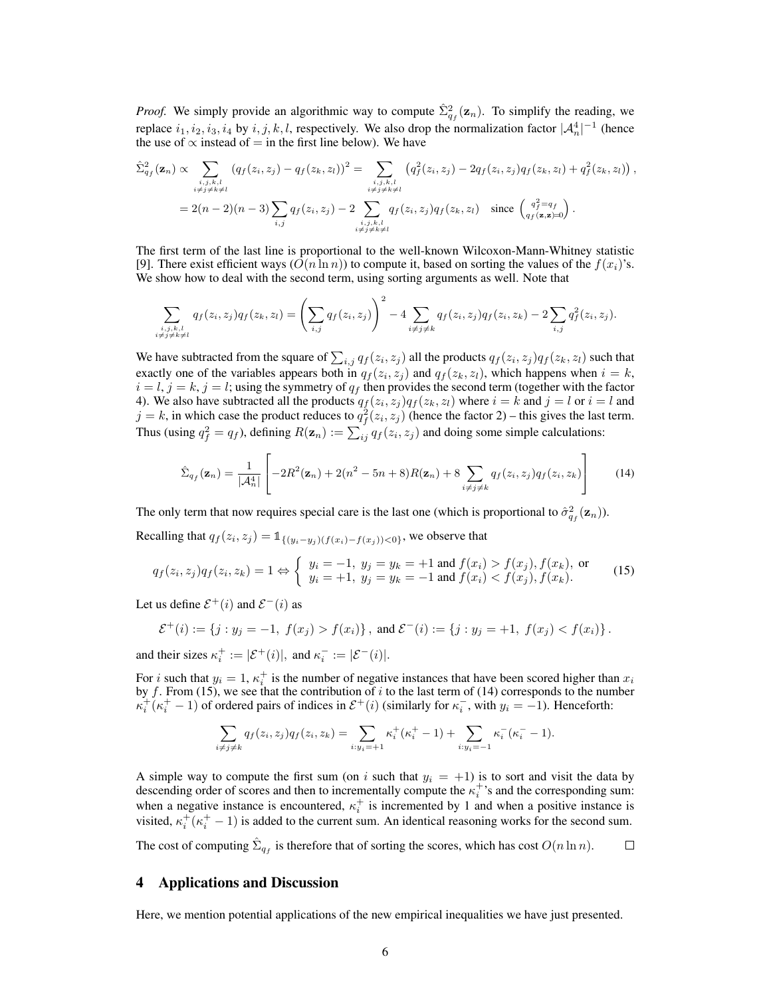*Proof.* We simply provide an algorithmic way to compute  $\hat{\Sigma}_{q_f}^2(\mathbf{z}_n)$ . To simplify the reading, we replace  $i_1, i_2, i_3, i_4$  by  $i, j, k, l$ , respectively. We also drop the normalization factor  $|A_n^4|^{-1}$  (hence the use of  $\propto$  instead of = in the first line below). We have

$$
\hat{\Sigma}_{q_f}^2(\mathbf{z}_n) \propto \sum_{\substack{i,j,k,l \\ i \neq j \neq k \neq l}} (q_f(z_i, z_j) - q_f(z_k, z_l))^2 = \sum_{\substack{i,j,k,l \\ i \neq j \neq k \neq l}} (q_f^2(z_i, z_j) - 2q_f(z_i, z_j)q_f(z_k, z_l) + q_f^2(z_k, z_l)),
$$
\n
$$
= 2(n-2)(n-3) \sum_{\substack{i,j,k,l \\ i \neq j \neq k \neq l}} q_f(z_i, z_j) - 2 \sum_{\substack{i,j,k,l \\ i \neq j \neq k \neq l}} q_f(z_i, z_j)q_f(z_k, z_l) \text{ since } \begin{pmatrix} q_f^2 = q_f \\ q_f(\mathbf{z}, \mathbf{z}) = 0 \end{pmatrix}.
$$

The first term of the last line is proportional to the well-known Wilcoxon-Mann-Whitney statistic [9]. There exist efficient ways  $(O(n \ln n))$  to compute it, based on sorting the values of the  $f(x_i)$ 's. We show how to deal with the second term, using sorting arguments as well. Note that

$$
\sum_{\substack{i,j,k,l \ j \neq j \neq k \neq l}} q_f(z_i, z_j) q_f(z_k, z_l) = \left(\sum_{i,j} q_f(z_i, z_j)\right)^2 - 4 \sum_{i \neq j \neq k} q_f(z_i, z_j) q_f(z_i, z_k) - 2 \sum_{i,j} q_f^2(z_i, z_j).
$$

We have subtracted from the square of  $\sum_{i,j} q_f(z_i, z_j)$  all the products  $q_f(z_i, z_j) q_f(z_k, z_l)$  such that exactly one of the variables appears both in  $q_f(z_i, z_j)$  and  $q_f(z_k, z_l)$ , which happens when  $i = k$ ,  $i = l, j = k, j = l$ ; using the symmetry of  $q_f$  then provides the second term (together with the factor 4). We also have subtracted all the products  $q_f(z_i, z_j)q_f(z_k, z_l)$  where  $i = k$  and  $j = l$  or  $i = l$  and  $j = k$ , in which case the product reduces to  $q_f^2(z_i, z_j)$  (hence the factor 2) – this gives the last term. Thus (using  $q_f^2 = q_f$ ), defining  $R(\mathbf{z}_n) := \sum_{i,j} q_f(z_i, z_j)$  and doing some simple calculations:

$$
\hat{\Sigma}_{q_f}(\mathbf{z}_n) = \frac{1}{|\mathcal{A}_n^4|} \left[ -2R^2(\mathbf{z}_n) + 2(n^2 - 5n + 8)R(\mathbf{z}_n) + 8 \sum_{i \neq j \neq k} q_f(z_i, z_j) q_f(z_i, z_k) \right]
$$
(14)

The only term that now requires special care is the last one (which is proportional to  $\hat{\sigma}_{q_f}^2(\mathbf{z}_n)$ ).

Recalling that  $q_f(z_i, z_j) = \mathbb{1}_{\{(y_i - y_j)(f(x_i) - f(x_j)) < 0\}}$ , we observe that

$$
q_f(z_i, z_j)q_f(z_i, z_k) = 1 \Leftrightarrow \begin{cases} y_i = -1, \ y_j = y_k = +1 \text{ and } f(x_i) > f(x_j), f(x_k), \text{ or} \\ y_i = +1, \ y_j = y_k = -1 \text{ and } f(x_i) < f(x_j), f(x_k). \end{cases} (15)
$$

Let us define  $\mathcal{E}^+(i)$  and  $\mathcal{E}^-(i)$  as

$$
\mathcal{E}^+(i) := \{j : y_j = -1, \ f(x_j) > f(x_i)\}, \text{ and } \mathcal{E}^-(i) := \{j : y_j = +1, \ f(x_j) < f(x_i)\}.
$$

and their sizes  $\kappa_i^+ := |\mathcal{E}^+(i)|$ , and  $\kappa_i^- := |\mathcal{E}^-(i)|$ .

For *i* such that  $y_i = 1$ ,  $\kappa_i^+$  is the number of negative instances that have been scored higher than  $x_i$ by f. From (15), we see that the contribution of i to the last term of (14) corresponds to the number  $\kappa_i^+(\kappa_i^+ - 1)$  of ordered pairs of indices in  $\mathcal{E}^+(i)$  (similarly for  $\kappa_i^-$ , with  $y_i = -1$ ). Henceforth:

$$
\sum_{i \neq j \neq k} q_f(z_i, z_j) q_f(z_i, z_k) = \sum_{i: y_i = +1} \kappa_i^+( \kappa_i^+ - 1) + \sum_{i: y_i = -1} \kappa_i^-( \kappa_i^- - 1).
$$

A simple way to compute the first sum (on i such that  $y_i = +1$ ) is to sort and visit the data by descending order of scores and then to incrementally compute the  $\kappa_i^+$ 's and the corresponding sum: when a negative instance is encountered,  $\kappa_i^+$  is incremented by 1 and when a positive instance is visited,  $\kappa_i^+(\kappa_i^+-1)$  is added to the current sum. An identical reasoning works for the second sum. The cost of computing  $\hat{\Sigma}_{q_f}$  is therefore that of sorting the scores, which has cost  $O(n \ln n)$ .  $\Box$ 

## 4 Applications and Discussion

Here, we mention potential applications of the new empirical inequalities we have just presented.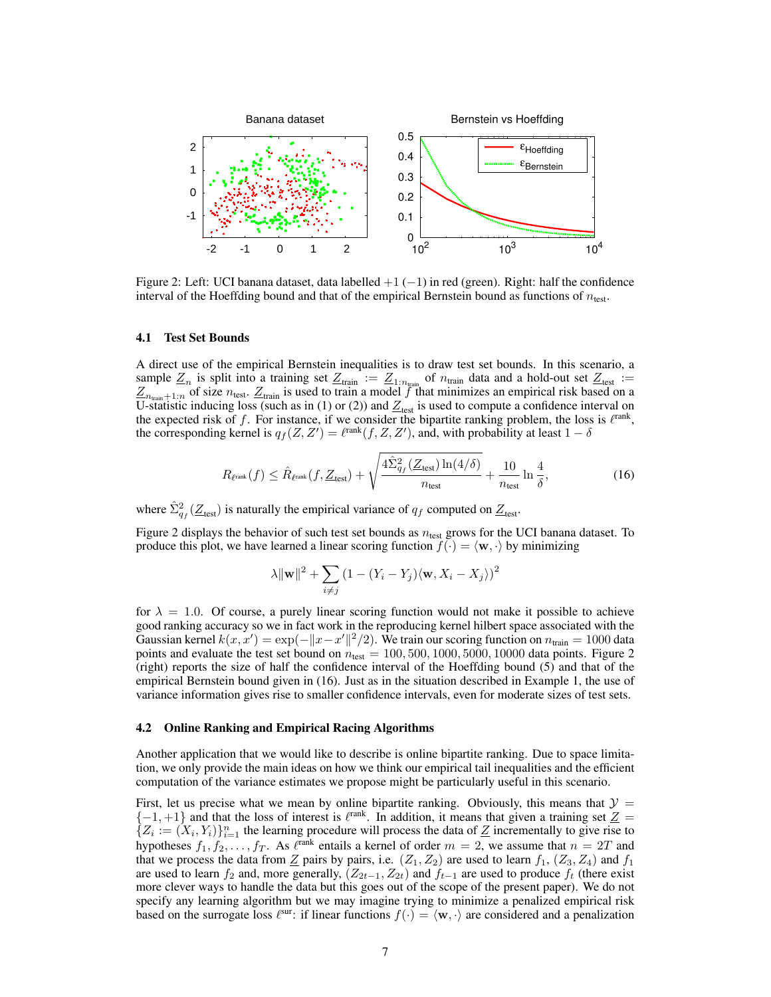

Figure 2: Left: UCI banana dataset, data labelled +1 (−1) in red (green). Right: half the confidence interval of the Hoeffding bound and that of the empirical Bernstein bound as functions of  $n_{test}$ .

#### 4.1 Test Set Bounds

A direct use of the empirical Bernstein inequalities is to draw test set bounds. In this scenario, a sample  $Z_n$  is split into a training set  $Z_{\text{train}} := Z_{1:n_{\text{train}}}$  of  $n_{\text{train}}$  data and a hold-out set  $Z_{\text{test}} :=$  $Z_{n_{\text{train}}+1:n}$  of size  $n_{\text{test}}$ .  $Z_{\text{train}}$  is used to train a model  $f$  that minimizes an empirical risk based on a U-statistic inducing loss (such as in (1) or (2)) and  $Z_{\text{test}}$  is used to compute a confidence interval on the expected risk of f. For instance, if we consider the bipartite ranking problem, the loss is  $\ell^{\text{rank}}$ , the corresponding kernel is  $q_f(Z, Z') = \ell^{\text{rank}}(f, Z, Z')$ , and, with probability at least  $1 - \delta$ 

$$
R_{\ell^{\text{rank}}}(f) \leq \hat{R}_{\ell^{\text{rank}}}(f, \underline{Z}_{\text{test}}) + \sqrt{\frac{4\hat{\Sigma}_{q_f}^2(\underline{Z}_{\text{test}})\ln(4/\delta)}{n_{\text{test}}}} + \frac{10}{n_{\text{test}}}\ln\frac{4}{\delta},\tag{16}
$$

where  $\hat{\Sigma}_{q_f}^2(\underline{Z}_{\text{test}})$  is naturally the empirical variance of  $q_f$  computed on  $\underline{Z}_{\text{test}}$ .

Figure 2 displays the behavior of such test set bounds as  $n_{test}$  grows for the UCI banana dataset. To produce this plot, we have learned a linear scoring function  $f(\cdot) = \langle \mathbf{w}, \cdot \rangle$  by minimizing

$$
\lambda \|\mathbf{w}\|^2 + \sum_{i \neq j} (1 - (Y_i - Y_j)(\mathbf{w}, X_i - X_j))^2
$$

for  $\lambda = 1.0$ . Of course, a purely linear scoring function would not make it possible to achieve good ranking accuracy so we in fact work in the reproducing kernel hilbert space associated with the Gaussian kernel  $k(x, x') = \exp(-\|x - x'\|^2/2)$ . We train our scoring function on  $n_{\text{train}} = 1000$  data points and evaluate the test set bound on  $n_{\text{test}} = 100, 500, 1000, 5000, 10000$  data points. Figure 2 (right) reports the size of half the confidence interval of the Hoeffding bound (5) and that of the empirical Bernstein bound given in (16). Just as in the situation described in Example 1, the use of variance information gives rise to smaller confidence intervals, even for moderate sizes of test sets.

## 4.2 Online Ranking and Empirical Racing Algorithms

Another application that we would like to describe is online bipartite ranking. Due to space limitation, we only provide the main ideas on how we think our empirical tail inequalities and the efficient computation of the variance estimates we propose might be particularly useful in this scenario.

First, let us precise what we mean by online bipartite ranking. Obviously, this means that  $\mathcal{Y} =$  $\{-1, +1\}$  and that the loss of interest is  $\ell^{\text{rank}}$ . In addition, it means that given a training set  $Z =$  ${Z_i := (X_i, Y_i)}_{i=1}^n$  the learning procedure will process the data of Z incrementally to give rise to hypotheses  $f_1, f_2, \ldots, f_T$ . As  $\ell^{\text{rank}}$  entails a kernel of order  $m = 2$ , we assume that  $n = 2T$  and that we process the data from  $Z$  pairs by pairs, i.e.  $(Z_1, Z_2)$  are used to learn  $f_1$ ,  $(Z_3, Z_4)$  and  $f_1$ are used to learn  $f_2$  and, more generally,  $(Z_{2t-1}, Z_{2t})$  and  $f_{t-1}$  are used to produce  $f_t$  (there exist more clever ways to handle the data but this goes out of the scope of the present paper). We do not specify any learning algorithm but we may imagine trying to minimize a penalized empirical risk based on the surrogate loss  $\ell^{sur}$ : if linear functions  $f(\cdot) = \langle \mathbf{w}, \cdot \rangle$  are considered and a penalization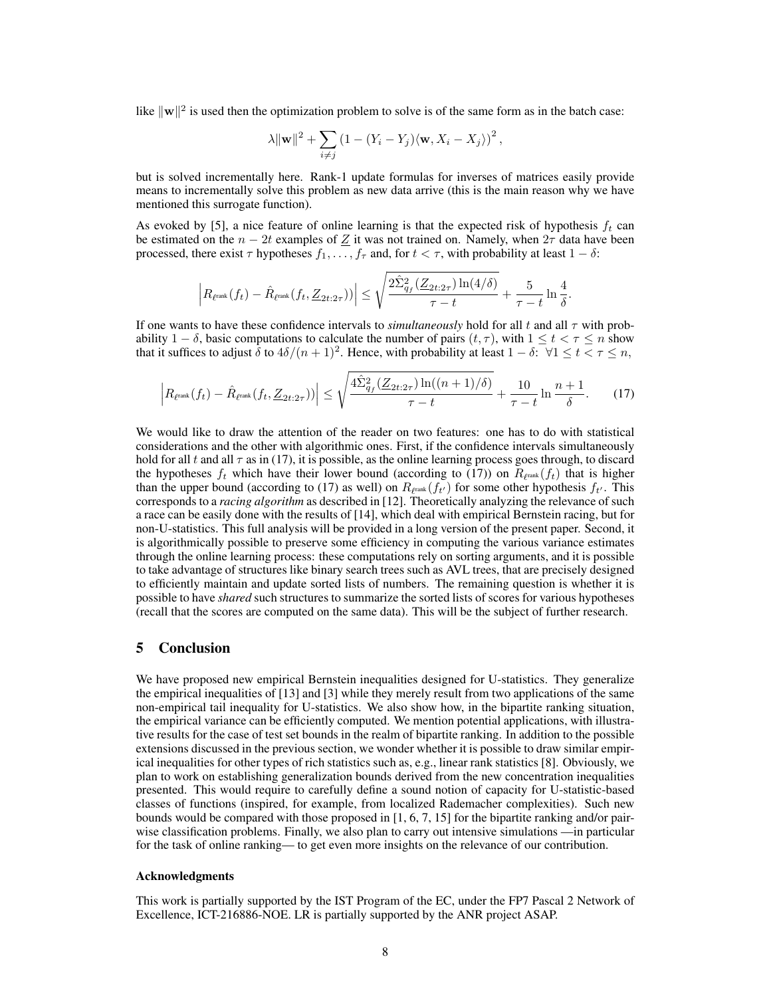like  $\|\mathbf{w}\|^2$  is used then the optimization problem to solve is of the same form as in the batch case:

$$
\lambda \|\mathbf{w}\|^2 + \sum_{i \neq j} (1 - (Y_i - Y_j) \langle \mathbf{w}, X_i - X_j \rangle)^2,
$$

but is solved incrementally here. Rank-1 update formulas for inverses of matrices easily provide means to incrementally solve this problem as new data arrive (this is the main reason why we have mentioned this surrogate function).

As evoked by [5], a nice feature of online learning is that the expected risk of hypothesis  $f_t$  can be estimated on the  $n - 2t$  examples of  $Z$  it was not trained on. Namely, when  $2\tau$  data have been processed, there exist  $\tau$  hypotheses  $f_1, \ldots, f_\tau$  and, for  $t < \tau$ , with probability at least  $1 - \delta$ :

$$
\left|R_{\ell^{\text{rank}}}(f_t) - \hat{R}_{\ell^{\text{rank}}}(f_t, \underline{Z}_{2t:2\tau}))\right| \leq \sqrt{\frac{2\hat{\Sigma}_{q_f}^2(\underline{Z}_{2t:2\tau})\ln(4/\delta)}{\tau-t}} + \frac{5}{\tau-t}\ln\frac{4}{\delta}.
$$

If one wants to have these confidence intervals to *simultaneously* hold for all t and all  $\tau$  with probability 1 –  $\delta$ , basic computations to calculate the number of pairs  $(t, \tau)$ , with  $1 \le t < \tau \le n$  show that it suffices to adjust  $\delta$  to  $4\delta/(n+1)^2$ . Hence, with probability at least  $1-\delta$ :  $\forall 1 \le t < \tau \le n$ ,

$$
\left| R_{\ell^{\text{rank}}}(f_t) - \hat{R}_{\ell^{\text{rank}}}(f_t, \underline{Z}_{2t:2\tau}) \right| \leq \sqrt{\frac{4\hat{\Sigma}_{q_f}^2(\underline{Z}_{2t:2\tau})\ln((n+1)/\delta)}{\tau - t}} + \frac{10}{\tau - t}\ln\frac{n+1}{\delta}.\tag{17}
$$

We would like to draw the attention of the reader on two features: one has to do with statistical considerations and the other with algorithmic ones. First, if the confidence intervals simultaneously hold for all t and all  $\tau$  as in (17), it is possible, as the online learning process goes through, to discard the hypotheses  $f_t$  which have their lower bound (according to (17)) on  $R_{\ell^{\text{rank}}}(f_t)$  that is higher than the upper bound (according to (17) as well) on  $R_{\ell^{\text{rank}}}(f_{t'})$  for some other hypothesis  $f_{t'}$ . This corresponds to a *racing algorithm* as described in [12]. Theoretically analyzing the relevance of such a race can be easily done with the results of [14], which deal with empirical Bernstein racing, but for non-U-statistics. This full analysis will be provided in a long version of the present paper. Second, it is algorithmically possible to preserve some efficiency in computing the various variance estimates through the online learning process: these computations rely on sorting arguments, and it is possible to take advantage of structures like binary search trees such as AVL trees, that are precisely designed to efficiently maintain and update sorted lists of numbers. The remaining question is whether it is possible to have *shared* such structures to summarize the sorted lists of scores for various hypotheses (recall that the scores are computed on the same data). This will be the subject of further research.

## 5 Conclusion

We have proposed new empirical Bernstein inequalities designed for U-statistics. They generalize the empirical inequalities of [13] and [3] while they merely result from two applications of the same non-empirical tail inequality for U-statistics. We also show how, in the bipartite ranking situation, the empirical variance can be efficiently computed. We mention potential applications, with illustrative results for the case of test set bounds in the realm of bipartite ranking. In addition to the possible extensions discussed in the previous section, we wonder whether it is possible to draw similar empirical inequalities for other types of rich statistics such as, e.g., linear rank statistics [8]. Obviously, we plan to work on establishing generalization bounds derived from the new concentration inequalities presented. This would require to carefully define a sound notion of capacity for U-statistic-based classes of functions (inspired, for example, from localized Rademacher complexities). Such new bounds would be compared with those proposed in [1, 6, 7, 15] for the bipartite ranking and/or pairwise classification problems. Finally, we also plan to carry out intensive simulations —in particular for the task of online ranking— to get even more insights on the relevance of our contribution.

#### Acknowledgments

This work is partially supported by the IST Program of the EC, under the FP7 Pascal 2 Network of Excellence, ICT-216886-NOE. LR is partially supported by the ANR project ASAP.